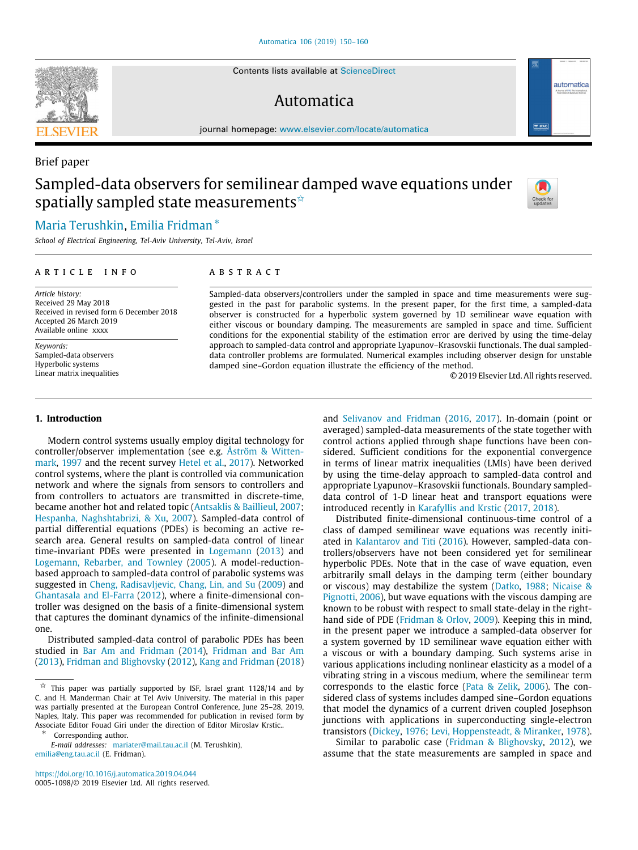Contents lists available at [ScienceDirect](http://www.elsevier.com/locate/automatica)

# Automatica



journal homepage: [www.elsevier.com/locate/automatica](http://www.elsevier.com/locate/automatica)

# Sampled-data observers for semilinear damped wave equations under spatially sampled state measurements  $\hat{z}$



# [Maria](#page-10-0) [Terushkin](#page-10-0), [Emilia](#page-10-1) [Fridman](#page-10-1) [∗](#page-0-1)

*School of Electrical Engineering, Tel-Aviv University, Tel-Aviv, Israel*

#### a r t i c l e i n f o

*Article history:* Received 29 May 2018 Received in revised form 6 December 2018 Accepted 26 March 2019 Available online xxxx

*Keywords:* Sampled-data observers Hyperbolic systems Linear matrix inequalities

#### **1. Introduction**

Modern control systems usually employ digital technology for controller/observer implementation (see e.g. [Åström & Witten](#page-10-2)[mark,](#page-10-2) [1997](#page-10-2) and the recent survey [Hetel et al.](#page-10-3), [2017](#page-10-3)). Networked control systems, where the plant is controlled via communication network and where the signals from sensors to controllers and from controllers to actuators are transmitted in discrete-time, became another hot and related topic [\(Antsaklis & Baillieul,](#page-10-4) [2007;](#page-10-4) [Hespanha, Naghshtabrizi, & Xu](#page-10-5), [2007\)](#page-10-5). Sampled-data control of partial differential equations (PDEs) is becoming an active research area. General results on sampled-data control of linear time-invariant PDEs were presented in [Logemann](#page-10-6) ([2013\)](#page-10-6) and [Logemann, Rebarber, and Townley](#page-10-7) ([2005\)](#page-10-7). A model-reductionbased approach to sampled-data control of parabolic systems was suggested in [Cheng, Radisavljevic, Chang, Lin, and Su](#page-10-8) [\(2009\)](#page-10-8) and [Ghantasala and El-Farra](#page-10-9) [\(2012\)](#page-10-9), where a finite-dimensional controller was designed on the basis of a finite-dimensional system that captures the dominant dynamics of the infinite-dimensional one.

Distributed sampled-data control of parabolic PDEs has been studied in [Bar Am and Fridman](#page-10-10) [\(2014](#page-10-10)), [Fridman and Bar Am](#page-10-11) ([2013\)](#page-10-11), [Fridman and Blighovsky](#page-10-12) ([2012](#page-10-12)), [Kang and Fridman](#page-10-13) ([2018\)](#page-10-13)

<span id="page-0-1"></span>Corresponding author.

*E-mail addresses:* [mariater@mail.tau.ac.il](mailto:mariater@mail.tau.ac.il) (M. Terushkin), [emilia@eng.tau.ac.il](mailto:emilia@eng.tau.ac.il) (E. Fridman).

<https://doi.org/10.1016/j.automatica.2019.04.044> 0005-1098/© 2019 Elsevier Ltd. All rights reserved.

#### A B S T R A C T

Sampled-data observers/controllers under the sampled in space and time measurements were suggested in the past for parabolic systems. In the present paper, for the first time, a sampled-data observer is constructed for a hyperbolic system governed by 1D semilinear wave equation with either viscous or boundary damping. The measurements are sampled in space and time. Sufficient conditions for the exponential stability of the estimation error are derived by using the time-delay approach to sampled-data control and appropriate Lyapunov–Krasovskii functionals. The dual sampleddata controller problems are formulated. Numerical examples including observer design for unstable damped sine–Gordon equation illustrate the efficiency of the method.

© 2019 Elsevier Ltd. All rights reserved.

and [Selivanov and Fridman](#page-10-14) ([2016](#page-10-14), [2017](#page-10-15)). In-domain (point or averaged) sampled-data measurements of the state together with control actions applied through shape functions have been considered. Sufficient conditions for the exponential convergence in terms of linear matrix inequalities (LMIs) have been derived by using the time-delay approach to sampled-data control and appropriate Lyapunov–Krasovskii functionals. Boundary sampleddata control of 1-D linear heat and transport equations were introduced recently in [Karafyllis and Krstic](#page-10-16) [\(2017](#page-10-16), [2018](#page-10-17)).

Distributed finite-dimensional continuous-time control of a class of damped semilinear wave equations was recently initiated in [Kalantarov and Titi](#page-10-18) [\(2016](#page-10-18)). However, sampled-data controllers/observers have not been considered yet for semilinear hyperbolic PDEs. Note that in the case of wave equation, even arbitrarily small delays in the damping term (either boundary or viscous) may destabilize the system [\(Datko,](#page-10-19) [1988;](#page-10-19) [Nicaise &](#page-10-20) [Pignotti,](#page-10-20) [2006](#page-10-20)), but wave equations with the viscous damping are known to be robust with respect to small state-delay in the righthand side of PDE [\(Fridman & Orlov,](#page-10-21) [2009\)](#page-10-21). Keeping this in mind, in the present paper we introduce a sampled-data observer for a system governed by 1D semilinear wave equation either with a viscous or with a boundary damping. Such systems arise in various applications including nonlinear elasticity as a model of a vibrating string in a viscous medium, where the semilinear term corresponds to the elastic force [\(Pata & Zelik,](#page-10-22) [2006\)](#page-10-22). The considered class of systems includes damped sine–Gordon equations that model the dynamics of a current driven coupled Josephson junctions with applications in superconducting single-electron transistors ([Dickey,](#page-10-23) [1976](#page-10-23); [Levi, Hoppensteadt, & Miranker](#page-10-24), [1978\)](#page-10-24).

Similar to parabolic case ([Fridman & Blighovsky](#page-10-12), [2012](#page-10-12)), we assume that the state measurements are sampled in space and



Brief paper

<span id="page-0-0"></span> $\overrightarrow{x}$  This paper was partially supported by ISF, Israel grant 1128/14 and by C. and H. Manderman Chair at Tel Aviv University. The material in this paper was partially presented at the European Control Conference, June 25–28, 2019, Naples, Italy. This paper was recommended for publication in revised form by Associate Editor Fouad Giri under the direction of Editor Miroslav Krstic..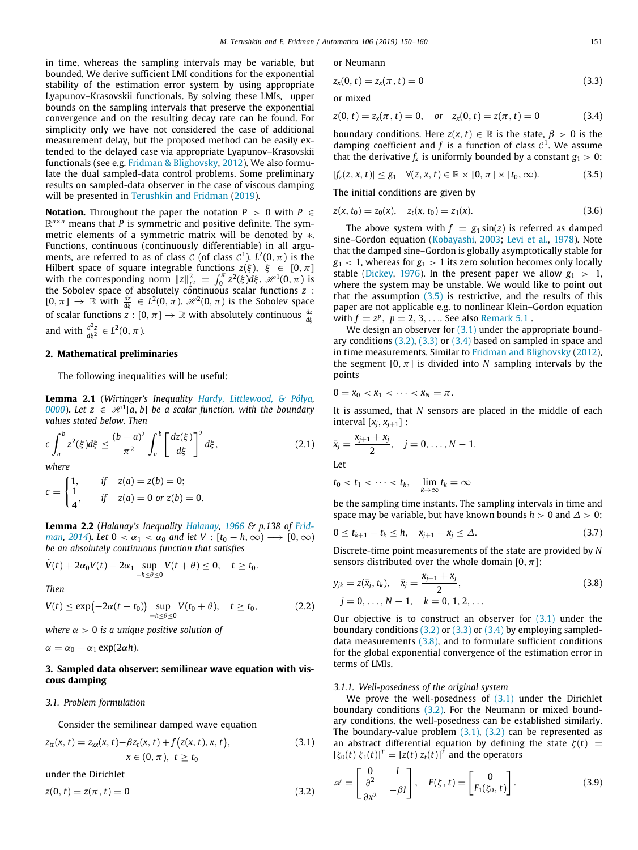in time, whereas the sampling intervals may be variable, but bounded. We derive sufficient LMI conditions for the exponential stability of the estimation error system by using appropriate Lyapunov–Krasovskii functionals. By solving these LMIs, upper bounds on the sampling intervals that preserve the exponential convergence and on the resulting decay rate can be found. For simplicity only we have not considered the case of additional measurement delay, but the proposed method can be easily extended to the delayed case via appropriate Lyapunov–Krasovskii functionals (see e.g. [Fridman & Blighovsky,](#page-10-12) [2012\)](#page-10-12). We also formulate the dual sampled-data control problems. Some preliminary results on sampled-data observer in the case of viscous damping will be presented in [Terushkin and Fridman](#page-10-25) ([2019](#page-10-25)).

**Notation.** Throughout the paper the notation  $P > 0$  with  $P \in$  $\mathbb{R}^{n \times n}$  means that *P* is symmetric and positive definite. The symmetric elements of a symmetric matrix will be denoted by ∗. Functions, continuous (continuously differentiable) in all arguments, are referred to as of class  $\mathcal C$  (of class  $\mathcal C^1$ ).  $L^2(0,\pi)$  is the Hilbert space of square integrable functions  $z(\xi)$ ,  $\xi \in [0, \pi]$ with the corresponding norm  $||z||_{L^2}^2 = \int_0^{\pi} z^2(\xi) d\xi$ .  $\mathcal{H}^1(0, \pi)$  is the Sobolev space of absolutely continuous scalar functions *z* :  $[0, \pi] \to \mathbb{R}$  with  $\frac{dz}{d\xi} \in L^2(0, \pi)$ .  $\mathcal{H}^2(0, \pi)$  is the Sobolev space of scalar functions  $z : [0, \pi] \to \mathbb{R}$  with absolutely continuous  $\frac{dz}{d\xi}$ and with  $\frac{d^2z}{d\xi^2} \in L^2(0, \pi)$ .

## **2. Mathematical preliminaries**

<span id="page-1-11"></span>The following inequalities will be useful:

**Lemma 2.1** (*Wirtinger's Inequality [Hardy, Littlewood, & Pólya,](#page-10-26)*  $\theta$ <sub>[0000](#page-10-26)</sub>). Let  $z \in \mathcal{H}^1[a, b]$  be a scalar function, with the boundary *values stated below. Then*

$$
c\int_{a}^{b} z^{2}(\xi)d\xi \leq \frac{(b-a)^{2}}{\pi^{2}}\int_{a}^{b} \left[\frac{dz(\xi)}{d\xi}\right]^{2}d\xi, \qquad (2.1)
$$

*where*

$$
c = \begin{cases} 1, & if \quad z(a) = z(b) = 0; \\ \frac{1}{4}, & if \quad z(a) = 0 \text{ or } z(b) = 0. \end{cases}
$$

**Lemma 2.2** (*Halanay's Inequality [Halanay](#page-10-27), [1966](#page-10-27) & p.138 of [Frid](#page-10-28)[man,](#page-10-28)* [2014](#page-10-28)). Let  $0 < \alpha_1 < \alpha_0$  and let  $V : [t_0 - h, \infty) \longrightarrow [0, \infty)$ *be an absolutely continuous function that satisfies*

$$
\dot{V}(t) + 2\alpha_0 V(t) - 2\alpha_1 \sup_{-h \leq \theta \leq 0} V(t + \theta) \leq 0, \quad t \geq t_0.
$$

*Then*

$$
V(t) \le \exp\left(-2\alpha(t-t_0)\right) \sup_{-h \le \theta \le 0} V(t_0+\theta), \quad t \ge t_0,
$$
 (2.2)

*where*  $\alpha > 0$  *is a unique positive solution of* 

 $\alpha = \alpha_0 - \alpha_1 \exp(2\alpha h)$ .

# **3. Sampled data observer: semilinear wave equation with viscous damping**

#### *3.1. Problem formulation*

Consider the semilinear damped wave equation

$$
z_{tt}(x, t) = z_{xx}(x, t) - \beta z_t(x, t) + f(z(x, t), x, t),
$$
  
\n
$$
x \in (0, \pi), t \ge t_0
$$
\n(3.1)

under the Dirichlet

$$
z(0, t) = z(\pi, t) = 0
$$
\n(3.2)

or Neumann

<span id="page-1-3"></span>
$$
z_x(0, t) = z_x(\pi, t) = 0 \tag{3.3}
$$

or mixed

<span id="page-1-4"></span>
$$
z(0, t) = z_x(\pi, t) = 0, \quad \text{or} \quad z_x(0, t) = z(\pi, t) = 0 \tag{3.4}
$$

boundary conditions. Here  $z(x, t) \in \mathbb{R}$  is the state,  $\beta > 0$  is the damping coefficient and  $f$  is a function of class  $C<sup>1</sup>$ . We assume that the derivative  $f_z$  is uniformly bounded by a constant  $g_1 > 0$ :

$$
|f_z(z, x, t)| \leq g_1 \quad \forall (z, x, t) \in \mathbb{R} \times [0, \pi] \times [t_0, \infty).
$$
 (3.5)

<span id="page-1-0"></span>The initial conditions are given by

<span id="page-1-10"></span>
$$
z(x, t_0) = z_0(x), \quad z_t(x, t_0) = z_1(x). \tag{3.6}
$$

The above system with  $f = g_1 \sin(z)$  is referred as damped sine–Gordon equation ([Kobayashi](#page-10-29), [2003](#page-10-29); [Levi et al.,](#page-10-24) [1978](#page-10-24)). Note that the damped sine–Gordon is globally asymptotically stable for  $g_1$  < 1, whereas for  $g_1$  > 1 its zero solution becomes only locally stable [\(Dickey](#page-10-23), [1976](#page-10-23)). In the present paper we allow  $g_1 > 1$ , where the system may be unstable. We would like to point out that the assumption  $(3.5)$  is restrictive, and the results of this paper are not applicable e.g. to nonlinear Klein–Gordon equation with  $f = z^p$ ,  $p = 2, 3, ...$  See also [Remark](#page-9-0) [5.1](#page-9-0).

We design an observer for  $(3.1)$  under the appropriate boundary conditions [\(3.2\)](#page-1-2), [\(3.3\)](#page-1-3) or [\(3.4\)](#page-1-4) based on sampled in space and in time measurements. Similar to [Fridman and Blighovsky](#page-10-12) [\(2012\)](#page-10-12), the segment  $[0, \pi]$  is divided into *N* sampling intervals by the points

$$
0=x_0 < x_1 < \cdots < x_N = \pi.
$$

It is assumed, that *N* sensors are placed in the middle of each interval  $[x_j, x_{j+1}]$  :

<span id="page-1-8"></span>
$$
\bar{x}_j = \frac{x_{j+1} + x_j}{2}, \quad j = 0, \dots, N - 1.
$$
  
Let  

$$
t_0 < t_1 < \dots < t_k, \quad \lim_{k \to \infty} t_k = \infty
$$

be the sampling time instants. The sampling intervals in time and space may be variable, but have known bounds  $h > 0$  and  $\Delta > 0$ :

<span id="page-1-9"></span>
$$
0 \le t_{k+1} - t_k \le h, \quad x_{j+1} - x_j \le \Delta. \tag{3.7}
$$

Discrete-time point measurements of the state are provided by *N* sensors distributed over the whole domain [0,  $\pi$ ]:

<span id="page-1-5"></span>
$$
y_{jk} = z(\bar{x}_j, t_k), \quad \bar{x}_j = \frac{x_{j+1} + x_j}{2},
$$
  
\n
$$
j = 0, \dots, N - 1, \quad k = 0, 1, 2, \dots
$$
\n(3.8)

<span id="page-1-7"></span>Our objective is to construct an observer for  $(3.1)$  $(3.1)$  $(3.1)$  under the boundary conditions  $(3.2)$  $(3.2)$  $(3.2)$  or  $(3.3)$  $(3.3)$  $(3.3)$  or  $(3.4)$  $(3.4)$  $(3.4)$  by employing sampleddata measurements  $(3.8)$ , and to formulate sufficient conditions for the global exponential convergence of the estimation error in terms of LMIs.

#### *3.1.1. Well-posedness of the original system*

We prove the well-posedness of  $(3.1)$  $(3.1)$  under the Dirichlet boundary conditions [\(3.2\)](#page-1-2). For the Neumann or mixed boundary conditions, the well-posedness can be established similarly. The boundary-value problem  $(3.1)$ ,  $(3.2)$  can be represented as an abstract differential equation by defining the state  $\zeta(t)$  =  $[\zeta_0(t) \; \zeta_1(t)]^T = [z(t) \; z_t(t)]^T$  and the operators

<span id="page-1-6"></span><span id="page-1-2"></span><span id="page-1-1"></span>
$$
\mathscr{A} = \begin{bmatrix} 0 & I \\ \frac{\partial^2}{\partial x^2} & -\beta I \end{bmatrix}, \quad F(\zeta, t) = \begin{bmatrix} 0 \\ F_1(\zeta_0, t) \end{bmatrix}.
$$
 (3.9)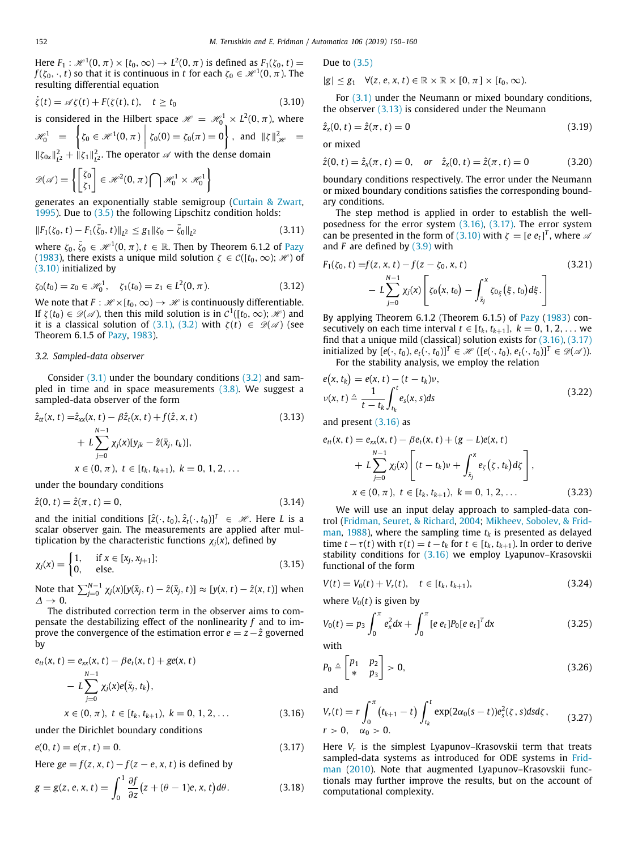Here  $F_1: \mathscr{H}^1(0,\pi) \times [t_0,\infty) \to L^2(0,\pi)$  is defined as  $F_1(\zeta_0,t) =$  $f(\zeta_0,\cdot,t)$  so that it is continuous in  $t$  for each  $\zeta_0\in \mathscr{H}^1(0,\pi).$  The resulting differential equation

$$
\dot{\zeta}(t) = \mathscr{A}\zeta(t) + F(\zeta(t), t), \quad t \ge t_0 \tag{3.10}
$$

is considered in the Hilbert space  $\mathscr{H} = \mathscr{H}^1_0 \times L^2(0,\pi)$ , where  $\mathscr{H}^1_0 = \left\{ \zeta_0 \in \mathscr{H}^1(0, \pi) \right\}$  $\zeta_0(0) = \zeta_0(\pi) = 0$ , and  $\|\zeta\|_{\mathcal{H}}^2 =$ 

 $\|\zeta_{0x}\|_{L^2}^2 + \|\zeta_1\|_{L^2}^2$ . The operator  $\mathscr A$  with the dense domain

$$
\mathscr{D}(\mathscr{A}) = \left\{ \begin{bmatrix} \zeta_0 \\ \zeta_1 \end{bmatrix} \in \mathscr{H}^2(0, \pi) \bigcap \mathscr{H}_0^1 \times \mathscr{H}_0^1 \right\}
$$

generates an exponentially stable semigroup [\(Curtain & Zwart,](#page-10-30) [1995\)](#page-10-30). Due to [\(3.5\)](#page-1-0) the following Lipschitz condition holds:

$$
||F_1(\zeta_0, t) - F_1(\bar{\zeta}_0, t)||_{L^2} \le g_1 ||\zeta_0 - \bar{\zeta}_0||_{L^2}
$$
\n(3.11)

where  $\zeta_0, \bar{\zeta}_0 \in \mathcal{H}^1(0, \pi), t \in \mathbb{R}$ . Then by Theorem 6.1.2 of [Pazy](#page-10-31) ([1983\)](#page-10-31), there exists a unique mild solution  $\zeta \in \mathcal{C}([t_0,\infty); \mathcal{H})$  of ([3.10](#page-2-0)) initialized by

$$
\zeta_0(t_0) = z_0 \in \mathcal{H}_0^1, \quad \zeta_1(t_0) = z_1 \in L^2(0, \pi). \tag{3.12}
$$

We note that  $F : \mathcal{H} \times [t_0, \infty) \to \mathcal{H}$  is continuously differentiable. If  $\zeta(t_0) \in \mathscr{D}(\mathscr{A})$ , then this mild solution is in  $\mathcal{C}^1([t_0, \infty); \mathscr{H})$  and it is a classical solution of [\(3.1\)](#page-1-1), ([3.2](#page-1-2)) with  $\zeta(t) \in \mathcal{D}(\mathcal{A})$  (see Theorem 6.1.5 of [Pazy,](#page-10-31) [1983](#page-10-31)).

#### *3.2. Sampled-data observer*

<span id="page-2-11"></span>Consider [\(3.1\)](#page-1-1) under the boundary conditions ([3.2](#page-1-2)) and sampled in time and in space measurements ([3.8\)](#page-1-5). We suggest a sampled-data observer of the form

$$
\hat{z}_{tt}(x, t) = \hat{z}_{xx}(x, t) - \beta \hat{z}_t(x, t) + f(\hat{z}, x, t)
$$
\n
$$
+ L \sum_{j=0}^{N-1} \chi_j(x)[y_{jk} - \hat{z}(\bar{x}_j, t_k)],
$$
\n
$$
x \in (0, \pi), t \in [t_k, t_{k+1}), k = 0, 1, 2, ...
$$
\n(3.13)

under the boundary conditions

$$
\hat{z}(0, t) = \hat{z}(\pi, t) = 0,\tag{3.14}
$$

and the initial conditions  $[\hat{z}(\cdot,t_0), \hat{z}_t(\cdot,t_0)]^T \in \mathcal{H}$ . Here *L* is a scalar observer gain. The measurements are applied after multiplication by the characteristic functions  $\chi_j(x)$ , defined by

$$
\chi_j(x) = \begin{cases} 1, & \text{if } x \in [x_j, x_{j+1}]; \\ 0, & \text{else.} \end{cases}
$$
 (3.15)

Note that  $\sum_{j=0}^{N-1} \chi_j(x) [y(\bar{x}_j, t) - \hat{z}(\bar{x}_j, t)] ≈ [y(x, t) - \hat{z}(x, t)]$  when  $\Delta \rightarrow 0$ .

The distributed correction term in the observer aims to compensate the destabilizing effect of the nonlinearity *f* and to improve the convergence of the estimation error  $e = z - \hat{z}$  governed by

$$
e_{tt}(x, t) = e_{xx}(x, t) - \beta e_t(x, t) + ge(x, t)
$$
  
-  $L \sum_{j=0}^{N-1} \chi_j(x)e(\bar{x}_j, t_k),$   
 $x \in (0, \pi), t \in [t_k, t_{k+1}), k = 0, 1, 2, ...$  (3.16)

under the Dirichlet boundary conditions

 $e(0, t) = e(\pi, t) = 0.$  (3.17)

Here 
$$
ge = f(z, x, t) - f(z - e, x, t)
$$
 is defined by  
\n
$$
g = g(z, e, x, t) = \int_0^1 \frac{\partial f}{\partial z} (z + (\theta - 1)e, x, t) d\theta.
$$
\n(3.18)

Due to  $(3.5)$ 

 $|g| \leq g_1 \quad \forall (z, e, x, t) \in \mathbb{R} \times \mathbb{R} \times [0, \pi] \times [t_0, \infty).$ 

<span id="page-2-0"></span>For [\(3.1\)](#page-1-1) under the Neumann or mixed boundary conditions, the observer  $(3.13)$  $(3.13)$  $(3.13)$  is considered under the Neumann

$$
\hat{z}_x(0, t) = \hat{z}(\pi, t) = 0 \tag{3.19}
$$

or mixed

$$
\hat{z}(0, t) = \hat{z}_x(\pi, t) = 0
$$
, or  $\hat{z}_x(0, t) = \hat{z}(\pi, t) = 0$  (3.20)

boundary conditions respectively. The error under the Neumann or mixed boundary conditions satisfies the corresponding boundary conditions.

The step method is applied in order to establish the wellposedness for the error system [\(3.16](#page-2-2)), [\(3.17](#page-2-3)). The error system can be presented in the form of [\(3.10\)](#page-2-0) with  $\zeta = [e \, e_t]^T$ , where  $\omega$ and *F* are defined by [\(3.9\)](#page-1-6) with

$$
F_1(\zeta_0, t) = f(z, x, t) - f(z - \zeta_0, x, t)
$$
\n
$$
- L \sum_{j=0}^{N-1} \chi_j(x) \left[ \zeta_0(x, t_0) - \int_{\bar{x}_j}^x \zeta_0(\xi, t_0) d\xi \right]
$$
\n(3.21)

By applying Theorem 6.1.2 (Theorem 6.1.5) of [Pazy](#page-10-31) [\(1983](#page-10-31)) consecutively on each time interval  $t \in [t_k, t_{k+1}], k = 0, 1, 2, \ldots$  we find that a unique mild (classical) solution exists for  $(3.16)$  $(3.16)$ ,  $(3.17)$ initialized by  $[e(\cdot, t_0), e_t(\cdot, t_0)]^T$  ∈  $\mathcal{H}$  ( $[e(\cdot, t_0), e_t(\cdot, t_0)]^T$  ∈  $\mathcal{D}(\mathcal{A})$ ).

<span id="page-2-12"></span>For the stability analysis, we employ the relation

$$
e(x, t_k) = e(x, t) - (t - t_k)\nu,
$$
  

$$
\nu(x, t) \triangleq \frac{1}{t - t_k} \int_{t_k}^t e_s(x, s) ds
$$
 (3.22)

<span id="page-2-1"></span>and present [\(3.16\)](#page-2-2) as

$$
e_{tt}(x, t) = e_{xx}(x, t) - \beta e_t(x, t) + (g - L)e(x, t)
$$
  
+  $L \sum_{j=0}^{N-1} \chi_j(x) \left[ (t - t_k)v + \int_{\bar{x}_j}^{x} e_{\zeta}(\zeta, t_k) d\zeta \right],$   
 $x \in (0, \pi), t \in [t_k, t_{k+1}), k = 0, 1, 2, ...$  (3.23)

<span id="page-2-4"></span>We will use an input delay approach to sampled-data control [\(Fridman, Seuret, & Richard](#page-10-32), [2004](#page-10-32); [Mikheev, Sobolev, & Frid](#page-10-33)[man,](#page-10-33) [1988\)](#page-10-33), where the sampling time  $t_k$  is presented as delayed time  $t - \tau(t)$  with  $\tau(t) = t - t_k$  for  $t \in [t_k, t_{k+1})$ . In order to derive stability conditions for [\(3.16\)](#page-2-2) we employ Lyapunov–Krasovskii functional of the form

<span id="page-2-9"></span>
$$
V(t) = V_0(t) + V_r(t), \quad t \in [t_k, t_{k+1}),
$$
\n(3.24)

<span id="page-2-7"></span>where  $V_0(t)$  is given by

<span id="page-2-5"></span>
$$
V_0(t) = p_3 \int_0^{\pi} e_x^2 dx + \int_0^{\pi} [e \, e_t] P_0 [e \, e_t]^T dx \tag{3.25}
$$

with

<span id="page-2-6"></span>
$$
P_0 \triangleq \begin{bmatrix} p_1 & p_2 \\ * & p_3 \end{bmatrix} > 0,\tag{3.26}
$$

and

<span id="page-2-8"></span><span id="page-2-2"></span>
$$
V_r(t) = r \int_0^{\pi} (t_{k+1} - t) \int_{t_k}^t \exp(2\alpha_0(s - t)) e_s^2(\zeta, s) ds d\zeta, \qquad (3.27)
$$
  
  $r > 0, \quad \alpha_0 > 0.$ 

<span id="page-2-10"></span><span id="page-2-3"></span>Here *V<sup>r</sup>* is the simplest Lyapunov–Krasovskii term that treats sampled-data systems as introduced for ODE systems in [Frid](#page-10-34)[man](#page-10-34) ([2010\)](#page-10-34). Note that augmented Lyapunov–Krasovskii functionals may further improve the results, but on the account of computational complexity.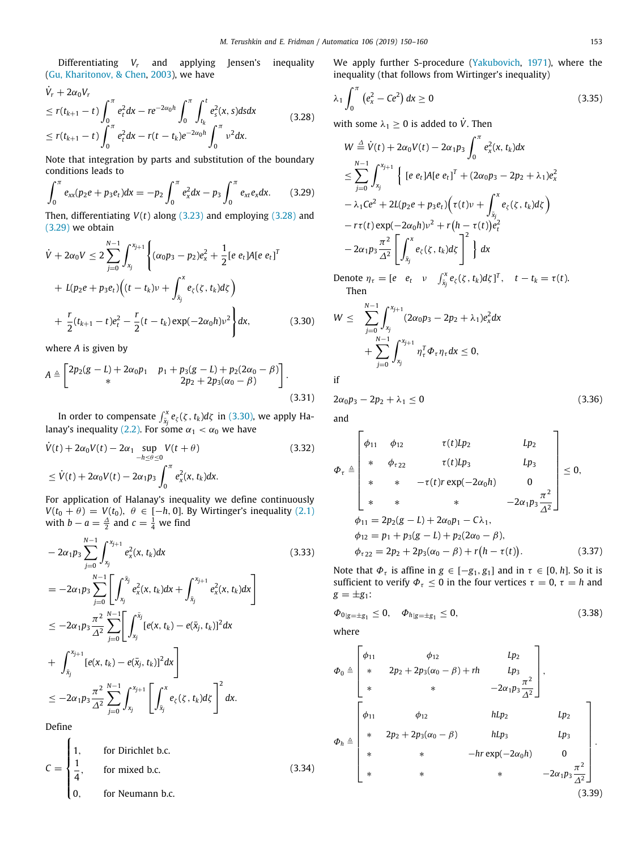Differentiating *V<sup>r</sup>* and applying Jensen's inequality ([Gu, Kharitonov, & Chen](#page-10-35), [2003](#page-10-35)), we have

$$
\dot{V}_r + 2\alpha_0 V_r
$$
\n
$$
\le r(t_{k+1} - t) \int_0^{\pi} e_t^2 dx - r e^{-2\alpha_0 h} \int_0^{\pi} \int_{t_k}^t e_s^2(x, s) ds dx
$$
\n
$$
\le r(t_{k+1} - t) \int_0^{\pi} e_t^2 dx - r(t - t_k) e^{-2\alpha_0 h} \int_0^{\pi} v^2 dx.
$$
\n(3.28)

Note that integration by parts and substitution of the boundary conditions leads to

$$
\int_0^{\pi} e_{xx}(p_2e + p_3e_t)dx = -p_2 \int_0^{\pi} e_x^2 dx - p_3 \int_0^{\pi} e_{xt}e_x dx.
$$
 (3.29)

Then, differentiating  $V(t)$  along  $(3.23)$  $(3.23)$  and employing  $(3.28)$  $(3.28)$  $(3.28)$  and ([3.29\)](#page-3-1) we obtain

$$
\dot{V} + 2\alpha_0 V \le 2 \sum_{j=0}^{N-1} \int_{x_j}^{x_{j+1}} \left\{ (\alpha_0 p_3 - p_2) e_x^2 + \frac{1}{2} [e \ e_t] A [e \ e_t]^T \right. \\
\left. + L(p_2 e + p_3 e_t) \Big( (t - t_k) v + \int_{\bar{x}_j}^x e_\zeta(\zeta, t_k) d\zeta \Big) \right. \\
\left. + \frac{r}{2} (t_{k+1} - t) e_t^2 - \frac{r}{2} (t - t_k) \exp(-2\alpha_0 h) v^2 \right\} dx,
$$
\n(3.30)

where *A* is given by

$$
A \triangleq \begin{bmatrix} 2p_2(g-L) + 2\alpha_0 p_1 & p_1 + p_3(g-L) + p_2(2\alpha_0 - \beta) \\ * & 2p_2 + 2p_3(\alpha_0 - \beta) \end{bmatrix}.
$$
\n(3.31)

In order to compensate  $\int_{\tilde{x}_j}^x e_\zeta(\zeta\,,t_k)d\zeta$  in ([3.30](#page-3-2)), we apply Ha-lanay's inequality ([2.2\)](#page-1-7). For some  $\alpha_1<\alpha_0$  we have

$$
\dot{V}(t) + 2\alpha_0 V(t) - 2\alpha_1 \sup_{-h \le \theta \le 0} V(t + \theta)
$$
\n
$$
\le \dot{V}(t) + 2\alpha_0 V(t) - 2\alpha_1 p_3 \int_0^{\pi} e_x^2(x, t_k) dx.
$$
\n(3.32)

For application of Halanay's inequality we define continuously *V*( $t_0 + \theta$ ) = *V*( $t_0$ ),  $\theta \in [-h, 0]$ . By Wirtinger's inequality ([2.1\)](#page-1-8) with  $b - a = \frac{\Delta}{2}$  and  $c = \frac{1}{4}$  we find

$$
-2\alpha_1 p_3 \sum_{j=0}^{N-1} \int_{x_j}^{x_{j+1}} e_x^2(x, t_k) dx
$$
\n
$$
= -2\alpha_1 p_3 \sum_{j=0}^{N-1} \left[ \int_{x_j}^{\bar{x}_j} e_x^2(x, t_k) dx + \int_{\bar{x}_j}^{x_{j+1}} e_x^2(x, t_k) dx \right]
$$
\n
$$
\leq -2\alpha_1 p_3 \frac{\pi^2}{\Delta^2} \sum_{j=0}^{N-1} \left[ \int_{x_j}^{\bar{x}_j} [e(x, t_k) - e(\bar{x}_j, t_k)]^2 dx \right]
$$
\n
$$
+ \int_{\bar{x}_j}^{x_{j+1}} [e(x, t_k) - e(\bar{x}_j, t_k)]^2 dx \right]
$$
\n
$$
\leq -2\alpha_1 p_3 \frac{\pi^2}{\Delta^2} \sum_{j=0}^{N-1} \int_{x_j}^{x_{j+1}} \left[ \int_{\bar{x}_j}^{x} e_{\zeta}(\zeta, t_k) d\zeta \right]^2 dx.
$$
\n(3.33)

Define

 $C =$  $\mathbf{I}$  $\int$  $\frac{1}{2}$ for Dirichlet b.c. 1 4 for mixed b.c. 0, for Neumann b.c. (3.34) We apply further S-procedure [\(Yakubovich,](#page-10-36) [1971\)](#page-10-36), where the inequality (that follows from Wirtinger's inequality)

$$
\lambda_1 \int_0^{\pi} (e_x^2 - Ce^2) dx \ge 0
$$
 (3.35)

<span id="page-3-0"></span>with some  $\lambda_1 \geq 0$  is added to  $\dot{V}$ . Then

<span id="page-3-1"></span>
$$
W \stackrel{\Delta}{=} \dot{V}(t) + 2\alpha_0 V(t) - 2\alpha_1 p_3 \int_0^{\pi} e_x^2(x, t_k) dx
$$
  
\n
$$
\leq \sum_{j=0}^{N-1} \int_{x_j}^{x_{j+1}} \left\{ \left[ e e_t A[e e_t]^T + (2\alpha_0 p_3 - 2p_2 + \lambda_1) e_x^2 \right. \right.\n- \lambda_1 C e^2 + 2L(p_2 e + p_3 e_t) \left( \tau(t) v + \int_{\bar{x}_j}^{x} e_{\zeta}(\zeta, t_k) d\zeta \right) \right.\n- r \tau(t) \exp(-2\alpha_0 h) v^2 + r (h - \tau(t)) e_t^2\n- 2\alpha_1 p_3 \frac{\pi^2}{\Delta^2} \left[ \int_{\bar{x}_j}^{x} e_{\zeta}(\zeta, t_k) d\zeta \right]^2 \right\} dx
$$

Denote  $\eta_{\tau} = [e \quad e_t \quad v \quad \int_{\bar{x}_j}^x e_{\zeta}(\zeta, t_k) d\zeta]^T$ ,  $t - t_k = \tau(t)$ . Then

<span id="page-3-2"></span>
$$
W \leq \sum_{j=0}^{N-1} \int_{x_j}^{x_{j+1}} (2\alpha_0 p_3 - 2p_2 + \lambda_1) e_x^2 dx + \sum_{j=0}^{N-1} \int_{x_j}^{x_{j+1}} \eta_{\tau}^T \Phi_{\tau} \eta_{\tau} dx \leq 0,
$$

if

<span id="page-3-3"></span>
$$
2\alpha_0 p_3 - 2p_2 + \lambda_1 \le 0 \tag{3.36}
$$

and

$$
\Phi_{\tau} \triangleq \begin{bmatrix}\n\phi_{11} & \phi_{12} & \tau(t)Lp_2 & Lp_2 \\
\ast & \phi_{\tau 22} & \tau(t)Lp_3 & Lp_3 \\
\ast & \ast & -\tau(t)r \exp(-2\alpha_0 h) & 0 \\
\ast & \ast & \ast & -2\alpha_1 p_3 \frac{\pi^2}{\Delta^2}\n\end{bmatrix} \leq 0,
$$
\n
$$
\phi_{11} = 2p_2(g - L) + 2\alpha_0 p_1 - C\lambda_1,
$$
\n
$$
\phi_{12} = p_1 + p_3(g - L) + p_2(2\alpha_0 - \beta),
$$
\n
$$
\phi_{\tau 22} = 2p_2 + 2p_3(\alpha_0 - \beta) + r(h - \tau(t)).
$$
\n(3.37)

<span id="page-3-8"></span><span id="page-3-5"></span>Note that  $\Phi_{\tau}$  is affine in  $g \in [-g_1, g_1]$  and in  $\tau \in [0, h]$ . So it is sufficient to verify  $\Phi_{\tau} \leq 0$  in the four vertices  $\tau = 0$ ,  $\tau = h$  and  $g = \pm g_1$ :

<span id="page-3-4"></span>
$$
\Phi_{0|g=\pm g_1} \leq 0, \quad \Phi_{h|g=\pm g_1} \leq 0,
$$
\n(3.38)

where

<span id="page-3-7"></span><span id="page-3-6"></span>
$$
\Phi_0 \triangleq \begin{bmatrix}\n\phi_{11} & \phi_{12} & Lp_2 \\
* & 2p_2 + 2p_3(\alpha_0 - \beta) + rh & Lp_3 \\
* & * & -2\alpha_1 p_3 \frac{\pi^2}{\Delta^2}\n\end{bmatrix}, \\
\Phi_h \triangleq \begin{bmatrix}\n\phi_{11} & \phi_{12} & hLp_2 & Lp_2 \\
* & 2p_2 + 2p_3(\alpha_0 - \beta) & hLp_3 & Lp_3 \\
* & * & -hr \exp(-2\alpha_0 h) & 0 \\
* & * & * & -2\alpha_1 p_3 \frac{\pi^2}{\Delta^2}\n\end{bmatrix}.
$$
\n(3.39)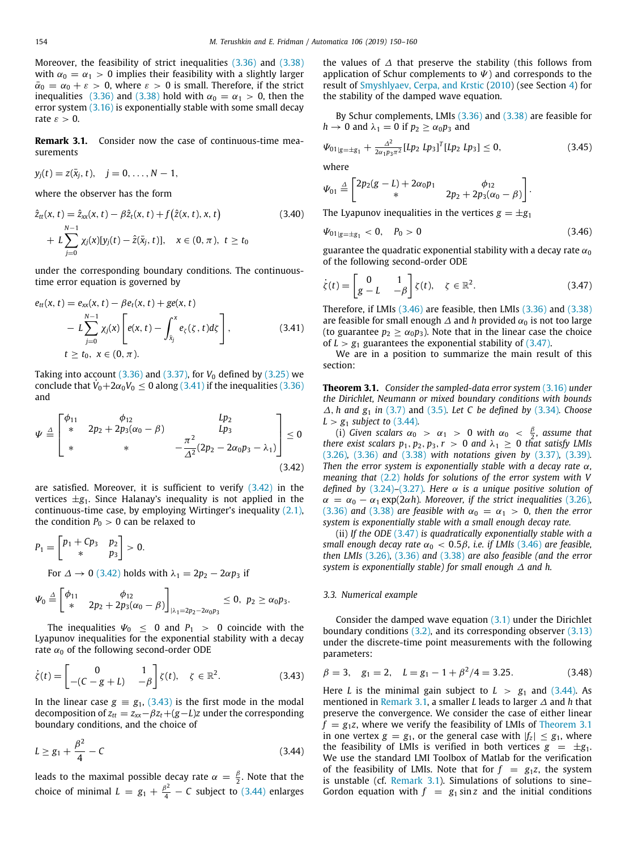Moreover, the feasibility of strict inequalities ([3.36](#page-3-3)) and [\(3.38\)](#page-3-4) with  $\alpha_0 = \alpha_1 > 0$  implies their feasibility with a slightly larger  $\bar{\alpha}_0 = \alpha_0 + \varepsilon > 0$ , where  $\varepsilon > 0$  is small. Therefore, if the strict inequalities ([3.36](#page-3-3)) and ([3.38](#page-3-4)) hold with  $\alpha_0 = \alpha_1 > 0$ , then the error system  $(3.16)$  $(3.16)$  is exponentially stable with some small decay rate  $\varepsilon > 0$ .

<span id="page-4-6"></span>**Remark 3.1.** Consider now the case of continuous-time measurements

$$
y_j(t) = z(\bar{x}_j, t), \quad j = 0, \ldots, N-1,
$$

where the observer has the form

$$
\hat{z}_{tt}(x, t) = \hat{z}_{xx}(x, t) - \beta \hat{z}_t(x, t) + f(\hat{z}(x, t), x, t)
$$
\n
$$
+ L \sum_{j=0}^{N-1} \chi_j(x)[y_j(t) - \hat{z}(\bar{x}_j, t)], \quad x \in (0, \pi), \ t \ge t_0
$$
\n(3.40)

under the corresponding boundary conditions. The continuoustime error equation is governed by

$$
e_{tt}(x, t) = e_{xx}(x, t) - \beta e_t(x, t) + ge(x, t)
$$
  
-  $L \sum_{j=0}^{N-1} \chi_j(x) \left[ e(x, t) - \int_{\bar{x}_j}^{x} e_{\zeta}(\zeta, t) d\zeta \right],$  (3.41)  
 $t \ge t_0, x \in (0, \pi).$ 

Taking into account  $(3.36)$  $(3.36)$  and  $(3.37)$  $(3.37)$  $(3.37)$ , for  $V_0$  defined by  $(3.25)$  we conclude that  $V_0 + 2\alpha_0 V_0 \le 0$  along [\(3.41\)](#page-4-0) if the inequalities [\(3.36\)](#page-3-3) and

$$
\Psi \stackrel{\Delta}{=} \begin{bmatrix} \phi_{11} & \phi_{12} & Lp_2 \\ * & 2p_2 + 2p_3(\alpha_0 - \beta) & Lp_3 \\ * & * & -\frac{\pi^2}{\Delta^2}(2p_2 - 2\alpha_0 p_3 - \lambda_1) \end{bmatrix} \leq 0
$$
\n(3.42)

are satisfied. Moreover, it is sufficient to verify [\(3.42](#page-4-1)) in the vertices  $\pm g_1$ . Since Halanay's inequality is not applied in the continuous-time case, by employing Wirtinger's inequality [\(2.1\)](#page-1-8), the condition  $P_0 > 0$  can be relaxed to

$$
P_1 = \begin{bmatrix} p_1 + Cp_3 & p_2 \\ * & p_3 \end{bmatrix} > 0.
$$
  
For  $\Delta \to 0$  (3.42) holds with  $\lambda_1 = 2p_2 - 2\alpha p_3$  if

$$
\Psi_0 \stackrel{\Delta}{=} \begin{bmatrix} \phi_{11} & \phi_{12} \\ * & 2p_2 + 2p_3(\alpha_0 - \beta) \end{bmatrix}_{|\lambda_1 = 2p_2 - 2\alpha_0 p_3} \leq 0, \ p_2 \geq \alpha_0 p_3.
$$

The inequalities  $\Psi_0 \leq 0$  and  $P_1 > 0$  coincide with the Lyapunov inequalities for the exponential stability with a decay rate  $\alpha_0$  of the following second-order ODE

$$
\dot{\zeta}(t) = \begin{bmatrix} 0 & 1 \\ -(C - g + L) & -\beta \end{bmatrix} \zeta(t), \quad \zeta \in \mathbb{R}^2.
$$
 (3.43)

In the linear case  $g \equiv g_1$ , [\(3.43\)](#page-4-2) is the first mode in the modal decomposition of  $z_{tt} = z_{xx} - \beta z_t + (g - L)z$  under the corresponding boundary conditions, and the choice of

$$
L \ge g_1 + \frac{\beta^2}{4} - C \tag{3.44}
$$

leads to the maximal possible decay rate  $\alpha = \frac{\beta}{2}$ . Note that the choice of minimal  $L = g_1 + \frac{\beta^2}{4} - C$  subject to ([3.44\)](#page-4-3) enlarges the values of  $\Delta$  that preserve the stability (this follows from application of Schur complements to  $\Psi$ ) and corresponds to the result of [Smyshlyaev, Cerpa, and Krstic](#page-10-37) ([2010\)](#page-10-37) (see Section [4](#page-5-0)) for the stability of the damped wave equation.

By Schur complements, LMIs ([3.36](#page-3-3)) and [\(3.38](#page-3-4)) are feasible for  $h \rightarrow 0$  and  $\lambda_1 = 0$  if  $p_2 > \alpha_0 p_3$  and

$$
\Psi_{01|g=\pm g_1} + \frac{\Delta^2}{2\alpha_1 p_3 \pi^2} [L p_2 L p_3]^T [L p_2 L p_3] \le 0, \qquad (3.45)
$$

where

$$
\Psi_{01} \triangleq \begin{bmatrix} 2p_2(g-L) + 2\alpha_0 p_1 & \phi_{12} \\ * & 2p_2 + 2p_3(\alpha_0 - \beta) \end{bmatrix}.
$$

The Lyapunov inequalities in the vertices  $g = \pm g_1$ 

<span id="page-4-4"></span>
$$
\Psi_{01|g=\pm g_1} < 0, \quad P_0 > 0 \tag{3.46}
$$

guarantee the quadratic exponential stability with a decay rate  $\alpha_0$ of the following second-order ODE

<span id="page-4-5"></span>
$$
\dot{\zeta}(t) = \begin{bmatrix} 0 & 1 \\ g - L & -\beta \end{bmatrix} \zeta(t), \quad \zeta \in \mathbb{R}^2.
$$
 (3.47)

<span id="page-4-0"></span>Therefore, if LMIs ([3.46\)](#page-4-4) are feasible, then LMIs ([3.36](#page-3-3)) and [\(3.38\)](#page-3-4) are feasible for small enough  $\Delta$  and *h* provided  $\alpha_0$  is not too large (to guarantee  $p_2 \ge \alpha_0 p_3$ ). Note that in the linear case the choice of  $L > g_1$  guarantees the exponential stability of  $(3.47)$ .

We are in a position to summarize the main result of this section:

<span id="page-4-7"></span>**Theorem 3.1.** *Consider the sampled-data error system* ([3.16](#page-2-2)) *under the Dirichlet, Neumann or mixed boundary conditions with bounds* ∆, *h and g*<sup>1</sup> *in* ([3.7](#page-1-9)) and [\(3.5\)](#page-1-0)*. Let C be defined by* [\(3.34\)](#page-3-6)*. Choose*  $L > g_1$  *subject to* ([3.44](#page-4-3)).

<span id="page-4-1"></span>(i) *Given scalars*  $\alpha_0 > \alpha_1 > 0$  *with*  $\alpha_0 < \frac{\beta}{2}$ *, assume that there exist scalars*  $p_1, p_2, p_3, r > 0$  *and*  $\lambda_1 \geq 0$  *that satisfy LMIs* ([3.26](#page-2-6))*,* ([3.36\)](#page-3-3) *and* ([3.38\)](#page-3-4) *with notations given by* ([3.37](#page-3-5))*,* [\(3.39\)](#page-3-7)*. Then the error system is exponentially stable with a decay rate* α*, meaning that* ([2.2](#page-1-7)) *holds for solutions of the error system with V defined by* ([3.24\)](#page-2-7)*–*([3.27](#page-2-8))*. Here* α *is a unique positive solution of*  $\alpha = \alpha_0 - \alpha_1 \exp(2\alpha h)$ *. Moreover, if the strict inequalities* [\(3.26\)](#page-2-6)*,* ([3.36](#page-3-3)) and [\(3.38\)](#page-3-4) are feasible with  $\alpha_0 = \alpha_1 > 0$ , then the error *system is exponentially stable with a small enough decay rate.*

(ii) *If the ODE* [\(3.47](#page-4-5)) *is quadratically exponentially stable with a small enough decay rate*  $\alpha_0 < 0.5\beta$ , *i.e. if LMIs* [\(3.46\)](#page-4-4) *are feasible*, *then LMIs* ([3.26\)](#page-2-6)*,* ([3.36](#page-3-3)) *and* [\(3.38\)](#page-3-4) *are also feasible (and the error system is exponentially stable) for small enough* ∆ *and h.*

#### *3.3. Numerical example*

Consider the damped wave equation  $(3.1)$  $(3.1)$  $(3.1)$  under the Dirichlet boundary conditions  $(3.2)$ , and its corresponding observer  $(3.13)$ under the discrete-time point measurements with the following parameters:

<span id="page-4-8"></span><span id="page-4-2"></span>
$$
\beta = 3, \quad g_1 = 2, \quad L = g_1 - 1 + \beta^2 / 4 = 3.25. \tag{3.48}
$$

<span id="page-4-3"></span>Here *L* is the minimal gain subject to  $L > g_1$  and ([3.44](#page-4-3)). As mentioned in [Remark](#page-4-6) [3.1,](#page-4-6) a smaller *L* leads to larger ∆ and *h* that preserve the convergence. We consider the case of either linear  $f = g_1 z$ , where we verify the feasibility of LMIs of [Theorem](#page-4-7) [3.1](#page-4-7) in one vertex  $g = g_1$ , or the general case with  $|f_z| \le g_1$ , where the feasibility of LMIs is verified in both vertices  $g = \pm g_1$ . We use the standard LMI Toolbox of Matlab for the verification of the feasibility of LMIs. Note that for  $f = g_1z$ , the system is unstable (cf. [Remark](#page-4-6) [3.1\)](#page-4-6). Simulations of solutions to sine– Gordon equation with  $f = g_1 \sin z$  and the initial conditions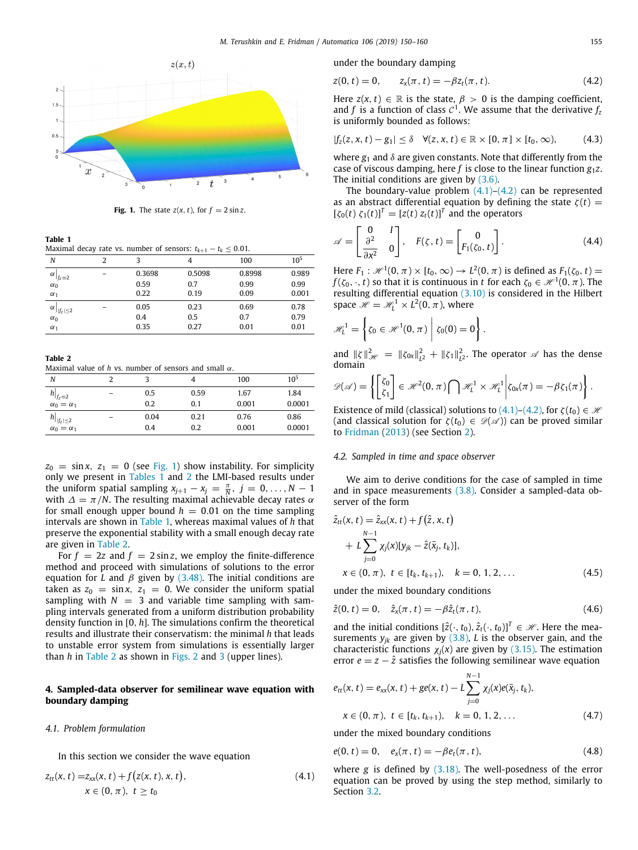

**Fig. 1.** The state  $z(x, t)$ , for  $f = 2 \sin z$ .

<span id="page-5-1"></span>**Table 1**

<span id="page-5-2"></span>Maximal decay rate vs. number of sensors:  $t_{k+1} - t_k \leq 0.01$ .

| N                                           | 2 | 3      | 4      | 100    | 10 <sup>5</sup> |
|---------------------------------------------|---|--------|--------|--------|-----------------|
| α<br>$f_z = 2$                              |   | 0.3698 | 0.5098 | 0.8998 | 0.989           |
| $\alpha_0$                                  |   | 0.59   | 0.7    | 0.99   | 0.99            |
| $\alpha_1$                                  |   | 0.22   | 0.19   | 0.09   | 0.001           |
| $\alpha$<br>$\left  \right   f_{z}  \leq 2$ |   | 0.05   | 0.23   | 0.69   | 0.78            |
| $\alpha_0$                                  |   | 0.4    | 0.5    | 0.7    | 0.79            |
| $\alpha_1$                                  |   | 0.35   | 0.27   | 0.01   | 0.01            |

**Table 2**

<span id="page-5-3"></span>Maximal value of *h* vs. number of sensors and small  $\alpha$ .

| N                                                                                     |                          |      |      | 100   | 10 <sup>5</sup> |
|---------------------------------------------------------------------------------------|--------------------------|------|------|-------|-----------------|
|                                                                                       | $\overline{\phantom{0}}$ | 0.5  | 0.59 | 1.67  | 1.84            |
| $\begin{array}{c}\n h _{f_z=2} \\  \alpha_0=\alpha_1\n \end{array}$                   |                          | 0.2  | 0.1  | 0.001 | 0.0001          |
| $\left. \begin{array}{c} h _{ f_z \leq 2} \\ \alpha_0 = \alpha_1 \end{array} \right.$ |                          | 0.04 | 0.21 | 0.76  | 0.86            |
|                                                                                       |                          | 0.4  | 0.2  | 0.001 | 0.0001          |

 $z_0 = \sin x$ ,  $z_1 = 0$  (see [Fig.](#page-5-1) [1\)](#page-5-1) show instability. For simplicity only we present in [Tables](#page-5-2) [1](#page-5-2) and [2](#page-5-3) the LMI-based results under the uniform spatial sampling  $x_{j+1} - x_j = \frac{\pi}{N}, j = 0, \ldots, N-1$ with  $\Delta = \pi/N$ . The resulting maximal achievable decay rates  $\alpha$ for small enough upper bound  $h = 0.01$  on the time sampling intervals are shown in [Table](#page-5-2) [1,](#page-5-2) whereas maximal values of *h* that preserve the exponential stability with a small enough decay rate are given in [Table](#page-5-3) [2](#page-5-3).

For  $f = 2z$  and  $f = 2 \sin z$ , we employ the finite-difference method and proceed with simulations of solutions to the error equation for *L* and  $\beta$  given by [\(3.48\)](#page-4-8). The initial conditions are taken as  $z_0 = \sin x$ ,  $z_1 = 0$ . We consider the uniform spatial sampling with  $N = 3$  and variable time sampling with sampling intervals generated from a uniform distribution probability density function in [0, *h*]. The simulations confirm the theoretical results and illustrate their conservatism: the minimal *h* that leads to unstable error system from simulations is essentially larger than *h* in [Table](#page-5-3) [2](#page-5-3) as shown in [Figs.](#page-6-0) [2](#page-6-0) and [3](#page-6-1) (upper lines).

## **4. Sampled-data observer for semilinear wave equation with boundary damping**

#### <span id="page-5-0"></span>*4.1. Problem formulation*

In this section we consider the wave equation

$$
z_{tt}(x, t) = z_{xx}(x, t) + f(z(x, t), x, t),
$$
  
\n
$$
x \in (0, \pi), t \ge t_0
$$
\n(4.1)

under the boundary damping

<span id="page-5-5"></span>
$$
z(0, t) = 0, \qquad z_x(\pi, t) = -\beta z_t(\pi, t). \tag{4.2}
$$

Here  $z(x, t) \in \mathbb{R}$  is the state,  $\beta > 0$  is the damping coefficient, and *f* is a function of class  $C^1$ . We assume that the derivative  $f_z$ is uniformly bounded as follows:

<span id="page-5-8"></span>
$$
|f_z(z, x, t) - g_1| \leq \delta \quad \forall (z, x, t) \in \mathbb{R} \times [0, \pi] \times [t_0, \infty), \tag{4.3}
$$

where  $g_1$  and  $\delta$  are given constants. Note that differently from the case of viscous damping, here *f* is close to the linear function  $g_1z$ . The initial conditions are given by  $(3.6)$  $(3.6)$  $(3.6)$ .

The boundary-value problem  $(4.1)$ – $(4.2)$  $(4.2)$  $(4.2)$  can be represented as an abstract differential equation by defining the state  $\zeta(t)$  =  $[\zeta_0(t) \; \zeta_1(t)]^T = [z(t) \; z_t(t)]^T$  and the operators

$$
\mathscr{A} = \begin{bmatrix} 0 & I \\ \frac{\partial^2}{\partial x^2} & 0 \end{bmatrix}, \quad F(\zeta, t) = \begin{bmatrix} 0 \\ F_1(\zeta_0, t) \end{bmatrix}.
$$
 (4.4)

Here  $F_1: \mathcal{H}^1(0, \pi) \times [t_0, \infty) \to L^2(0, \pi)$  is defined as  $F_1(\zeta_0, t) =$  $f(\zeta_0,\cdot,t)$  so that it is continuous in  $t$  for each  $\zeta_0\in \mathscr{H}^1(0,\pi).$  The resulting differential equation ([3.10\)](#page-2-0) is considered in the Hilbert space  $\mathcal{H} = \mathcal{H}_L^1 \times L^2(0, \pi)$ , where

$$
\mathscr{H}_L^1 = \left\{ \zeta_0 \in \mathscr{H}^1(0,\pi) \middle| \zeta_0(0) = 0 \right\}.
$$

and  $||\zeta||_{\mathcal{H}}^2 = ||\zeta_{0x}||_{L^2}^2 + ||\zeta_1||_{L^2}^2$ . The operator  $\mathcal{A}$  has the dense domain

$$
\mathscr{D}(\mathscr{A}) = \left\{ \begin{bmatrix} \zeta_0 \\ \zeta_1 \end{bmatrix} \in \mathscr{H}^2(0, \pi) \bigcap \mathscr{H}_L^1 \times \mathscr{H}_L^1 \middle| \zeta_{0x}(\pi) = -\beta \zeta_1(\pi) \right\}.
$$

Existence of mild (classical) solutions to  $(4.1)$ – $(4.2)$  $(4.2)$ , for  $\zeta(t_0) \in \mathcal{H}$ (and classical solution for  $\zeta(t_0) \in \mathcal{D}(\mathcal{A})$ ) can be proved similar to [Fridman](#page-10-38) ([2013](#page-10-38)) (see Section [2\)](#page-1-11).

# *4.2. Sampled in time and space observer*

We aim to derive conditions for the case of sampled in time and in space measurements  $(3.8)$  $(3.8)$  $(3.8)$ . Consider a sampled-data observer of the form

$$
\hat{z}_{tt}(x, t) = \hat{z}_{xx}(x, t) + f(\hat{z}, x, t) \n+ L \sum_{j=0}^{N-1} \chi_j(x)[y_{jk} - \hat{z}(\bar{x}_j, t_k)], \nx \in (0, \pi), t \in [t_k, t_{k+1}), \quad k = 0, 1, 2, ...
$$
\n(4.5)

<span id="page-5-10"></span><span id="page-5-9"></span>under the mixed boundary conditions

$$
\hat{z}(0, t) = 0, \quad \hat{z}_x(\pi, t) = -\beta \hat{z}_t(\pi, t), \tag{4.6}
$$

and the initial conditions  $[\hat{z}(\cdot, t_0), \hat{z}_t(\cdot, t_0)]^T \in \mathcal{H}$ . Here the measurements  $y_{jk}$  are given by ([3.8](#page-1-5)), *L* is the observer gain, and the characteristic functions  $\chi_i(x)$  are given by [\(3.15\)](#page-2-9). The estimation error  $e = z - \hat{z}$  satisfies the following semilinear wave equation

$$
e_{tt}(x, t) = e_{xx}(x, t) + ge(x, t) - L \sum_{j=0}^{N-1} \chi_j(x)e(\bar{x}_j, t_k),
$$
  
\n
$$
x \in (0, \pi), \ t \in [t_k, t_{k+1}), \quad k = 0, 1, 2, ...
$$
 (4.7)

<span id="page-5-6"></span>under the mixed boundary conditions

<span id="page-5-7"></span>
$$
e(0, t) = 0, \quad e_x(\pi, t) = -\beta e_t(\pi, t), \tag{4.8}
$$

<span id="page-5-4"></span>where *g* is defined by [\(3.18\)](#page-2-10). The well-posedness of the error equation can be proved by using the step method, similarly to Section [3.2.](#page-2-11)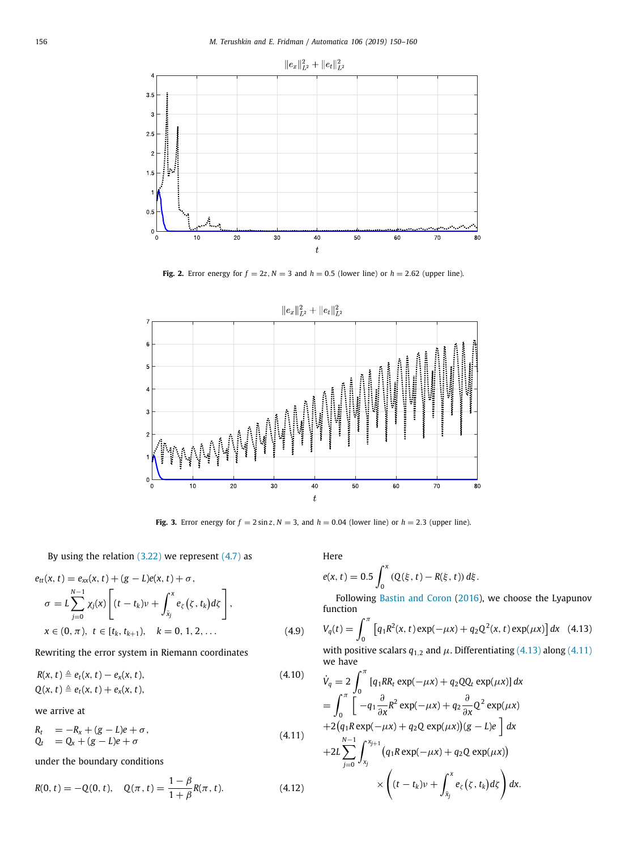

**Fig. 2.** Error energy for  $f = 2z$ ,  $N = 3$  and  $h = 0.5$  (lower line) or  $h = 2.62$  (upper line).

<span id="page-6-0"></span>

**Fig. 3.** Error energy for  $f = 2 \sin z$ ,  $N = 3$ , and  $h = 0.04$  (lower line) or  $h = 2.3$  (upper line).

# <span id="page-6-1"></span>By using the relation  $(3.22)$  we represent  $(4.7)$  as

$$
e_{tt}(x, t) = e_{xx}(x, t) + (g - L)e(x, t) + \sigma,
$$
  
\n
$$
\sigma = L \sum_{j=0}^{N-1} \chi_j(x) \left[ (t - t_k)\nu + \int_{\bar{x}_j}^{x} e_{\zeta}(\zeta, t_k) d\zeta \right],
$$
  
\n
$$
x \in (0, \pi), t \in [t_k, t_{k+1}), \quad k = 0, 1, 2, ...
$$
 (4.9)

Rewriting the error system in Riemann coordinates

$$
R(x, t) \triangleq e_t(x, t) - e_x(x, t),
$$
  
 
$$
Q(x, t) \triangleq e_t(x, t) + e_x(x, t),
$$
 (4.10)

we arrive at

 $R_t = -R_x + (g - L)e + \sigma$ ,  $Q_t = Q_x + (g - L)e + \sigma$ (4.11)

under the boundary conditions

$$
R(0, t) = -Q(0, t), \quad Q(\pi, t) = \frac{1 - \beta}{1 + \beta} R(\pi, t). \tag{4.12}
$$

Here

$$
e(x, t) = 0.5 \int_0^x (Q(\xi, t) - R(\xi, t)) d\xi.
$$

<span id="page-6-2"></span>Following [Bastin and Coron](#page-10-39) [\(2016](#page-10-39)), we choose the Lyapunov function

<span id="page-6-4"></span>
$$
V_q(t) = \int_0^{\pi} \left[ q_1 R^2(x, t) \exp(-\mu x) + q_2 Q^2(x, t) \exp(\mu x) \right] dx
$$
 (4.13)

with positive scalars  $q_{1,2}$  and  $\mu$ . Differentiating ([4.13](#page-6-2)) along [\(4.11\)](#page-6-3) we have

<span id="page-6-3"></span>
$$
\dot{V}_q = 2 \int_0^{\pi} \left[ q_1 R R_t \exp(-\mu x) + q_2 Q Q_t \exp(\mu x) \right] dx
$$
  
\n
$$
= \int_0^{\pi} \left[ -q_1 \frac{\partial}{\partial x} R^2 \exp(-\mu x) + q_2 \frac{\partial}{\partial x} Q^2 \exp(\mu x) \right. \n+ 2 \left( q_1 R \exp(-\mu x) + q_2 Q \exp(\mu x) \right) \left( g - L \right) e \right] dx
$$
  
\n+2L  $\sum_{j=0}^{N-1} \int_{x_j}^{x_{j+1}} \left( q_1 R \exp(-\mu x) + q_2 Q \exp(\mu x) \right) \times \left( (t - t_k) \nu + \int_{\bar{x}_j}^{x} e_{\zeta} (\zeta, t_k) d\zeta \right) dx.$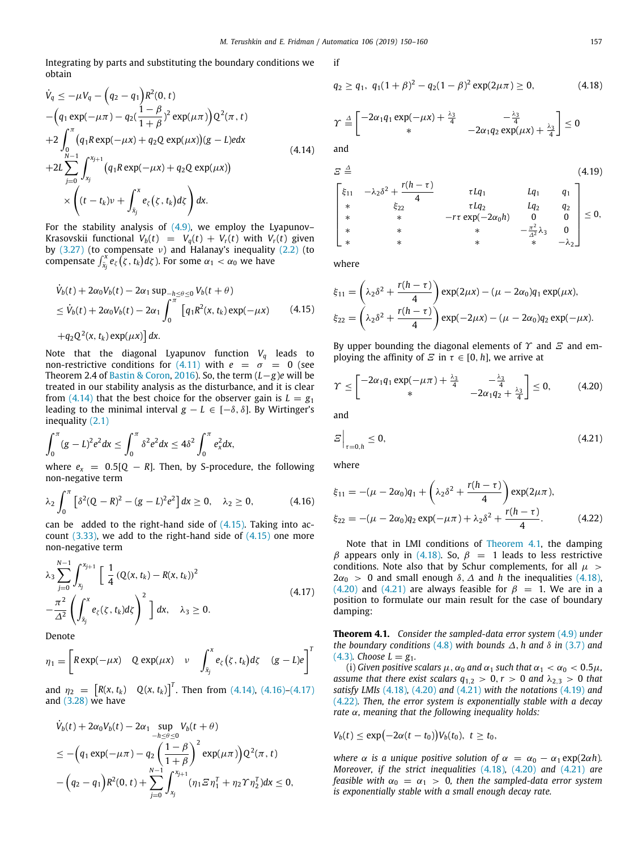if

Integrating by parts and substituting the boundary conditions we obtain

$$
\dot{V}_q \leq -\mu V_q - \left(q_2 - q_1\right) R^2(0, t) \n- \left(q_1 \exp(-\mu \pi) - q_2 \left(\frac{1-\beta}{1+\beta}\right)^2 \exp(\mu \pi)\right) Q^2(\pi, t) \n+2 \int_0^{\pi} \left(q_1 R \exp(-\mu x) + q_2 Q \exp(\mu x)\right) (g - L) e dx \n+2L \sum_{j=0}^{N-1} \int_{x_j}^{x_{j+1}} \left(q_1 R \exp(-\mu x) + q_2 Q \exp(\mu x)\right) \n\times \left((t - t_k)\nu + \int_{\bar{x}_j}^x e_\zeta(\zeta, t_k) d\zeta\right) dx.
$$
\n(4.14)

For the stability analysis of  $(4.9)$ , we employ the Lyapunov– Krasovskii functional  $V_b(t) = V_q(t) + V_r(t)$  with  $V_r(t)$  given by  $(3.27)$  $(3.27)$  $(3.27)$  (to compensate v) and Halanay's inequality  $(2.2)$  (to compensate  $\int_{\bar{x}_j}^x e_\zeta(\zeta,t_k) d\zeta$  ). For some  $\alpha_1 < \alpha_0$  we have

$$
\dot{V}_b(t) + 2\alpha_0 V_b(t) - 2\alpha_1 \sup_{-h \le \theta \le 0} V_b(t + \theta)
$$
  
\n
$$
\le \dot{V}_b(t) + 2\alpha_0 V_b(t) - 2\alpha_1 \int_0^{\pi} \left[ q_1 R^2(x, t_k) \exp(-\mu x) \right] \qquad (4.15)
$$

 $+q_2Q^2(x, t_k) \exp(\mu x) dx$ .

Note that the diagonal Lyapunov function *V<sup>q</sup>* leads to non-restrictive conditions for  $(4.11)$  $(4.11)$  with  $e = \sigma = 0$  (see Theorem 2.4 of [Bastin & Coron,](#page-10-39) [2016](#page-10-39)). So, the term (*L*−*g*)*e* will be treated in our stability analysis as the disturbance, and it is clear from [\(4.14\)](#page-7-0) that the best choice for the observer gain is  $L = g_1$ leading to the minimal interval *g* − *L* ∈ [− $\delta$ ,  $\delta$ ]. By Wirtinger's inequality ([2.1](#page-1-8))

$$
\int_0^{\pi} (g - L)^2 e^2 dx \le \int_0^{\pi} \delta^2 e^2 dx \le 4\delta^2 \int_0^{\pi} e_x^2 dx,
$$
  
where  $e_y = 0.5[0 - R]$ . Then, by S-projective

*e*, the following non-negative term

$$
\lambda_2 \int_0^{\pi} \left[ \delta^2 (Q - R)^2 - (g - L)^2 e^2 \right] dx \ge 0, \quad \lambda_2 \ge 0,
$$
 (4.16)

can be added to the right-hand side of  $(4.15)$  $(4.15)$  $(4.15)$ . Taking into account  $(3.33)$  $(3.33)$  $(3.33)$ , we add to the right-hand side of  $(4.15)$  $(4.15)$  one more non-negative term

$$
\lambda_3 \sum_{j=0}^{N-1} \int_{x_j}^{x_{j+1}} \left[ \frac{1}{4} (Q(x, t_k) - R(x, t_k))^2 - \frac{\pi^2}{\Delta^2} \left( \int_{\bar{x}_j}^x e_\zeta(\zeta, t_k) d\zeta \right)^2 \right] dx, \quad \lambda_3 \ge 0.
$$
\n(4.17)

Denote

$$
\eta_1 = \begin{bmatrix} R \exp(-\mu x) & Q \exp(\mu x) & \nu & \int_{\bar{x}_j}^{x} e_{\zeta}(\zeta, t_k) d\zeta & (g - L) e \end{bmatrix}^T
$$

and  $\eta_2 = \begin{bmatrix} R(x, t_k) & Q(x, t_k) \end{bmatrix}^T$ . Then from ([4.14\)](#page-7-0), ([4.16](#page-7-2))–[\(4.17\)](#page-7-3) and  $(3.28)$  $(3.28)$  we have

$$
\dot{V}_b(t) + 2\alpha_0 V_b(t) - 2\alpha_1 \sup_{-h \le \theta \le 0} V_b(t + \theta)
$$
\n
$$
\le -\left(q_1 \exp(-\mu \pi) - q_2 \left(\frac{1-\beta}{1+\beta}\right)^2 \exp(\mu \pi)\right) Q^2(\pi, t)
$$
\n
$$
-\left(q_2 - q_1\right) R^2(0, t) + \sum_{j=0}^{N-1} \int_{x_j}^{x_{j+1}} (\eta_1 \Sigma \eta_1^T + \eta_2 \Upsilon \eta_2^T) dx \le 0,
$$

<span id="page-7-5"></span>

$$
q_2 \ge q_1, \ q_1(1+\beta)^2 - q_2(1-\beta)^2 \exp(2\mu\pi) \ge 0, \tag{4.18}
$$

$$
\gamma \stackrel{\Delta}{=} \begin{bmatrix} -2\alpha_1 q_1 \exp(-\mu x) + \frac{\lambda_3}{4} & -\frac{\lambda_3}{4} \\ \ast & -2\alpha_1 q_2 \exp(\mu x) + \frac{\lambda_3}{4} \end{bmatrix} \leq 0
$$
 and

<span id="page-7-0"></span>

<span id="page-7-8"></span>
$$
E \stackrel{\triangle}{=} (4.19)
$$
\n
$$
\begin{bmatrix}\n\xi_{11} & -\lambda_2 \delta^2 + \frac{r(h-\tau)}{4} & \tau L q_1 & L q_1 & q_1 \\
\ast & \xi_{22} & \tau L q_2 & L q_2 & q_2 \\
\ast & \ast & -r \tau \exp(-2\alpha_0 h) & 0 & 0 \\
\ast & \ast & \ast & \frac{\pi^2}{4} \lambda_3 & 0 \\
\ast & \ast & \ast & \ast & -\lambda_2\n\end{bmatrix} \leq 0,
$$

where

<span id="page-7-1"></span>
$$
\xi_{11} = \left(\lambda_2 \delta^2 + \frac{r(h-\tau)}{4}\right) \exp(2\mu x) - (\mu - 2\alpha_0) q_1 \exp(\mu x),
$$
  

$$
\xi_{22} = \left(\lambda_2 \delta^2 + \frac{r(h-\tau)}{4}\right) \exp(-2\mu x) - (\mu - 2\alpha_0) q_2 \exp(-\mu x).
$$

By upper bounding the diagonal elements of  $\gamma$  and  $\epsilon$  and employing the affinity of  $\Xi$  in  $\tau \in [0, h]$ , we arrive at

<span id="page-7-6"></span>
$$
\Upsilon \leq \begin{bmatrix} -2\alpha_1 q_1 \exp(-\mu \pi) + \frac{\lambda_3}{4} & -\frac{\lambda_3}{4} \\ * & -2\alpha_1 q_2 + \frac{\lambda_3}{4} \end{bmatrix} \leq 0, \qquad (4.20)
$$

and

<span id="page-7-7"></span>
$$
E\Big|_{\tau=0,h}\leq 0,\tag{4.21}
$$

where

<span id="page-7-2"></span>
$$
\xi_{11} = -(\mu - 2\alpha_0)q_1 + \left(\lambda_2 \delta^2 + \frac{r(h - \tau)}{4}\right) \exp(2\mu \pi),
$$
  

$$
\xi_{22} = -(\mu - 2\alpha_0)q_2 \exp(-\mu \pi) + \lambda_2 \delta^2 + \frac{r(h - \tau)}{4}.
$$
 (4.22)

<span id="page-7-9"></span>Note that in LMI conditions of [Theorem](#page-7-4) [4.1,](#page-7-4) the damping  $β$  appears only in [\(4.18](#page-7-5)). So,  $β = 1$  leads to less restrictive conditions. Note also that by Schur complements, for all  $\mu$  >  $2\alpha_0$  > 0 and small enough  $\delta$ ,  $\Delta$  and *h* the inequalities [\(4.18\)](#page-7-5), ([4.20\)](#page-7-6) and [\(4.21\)](#page-7-7) are always feasible for  $\beta = 1$ . We are in a position to formulate our main result for the case of boundary damping:

<span id="page-7-4"></span><span id="page-7-3"></span>**Theorem 4.1.** *Consider the sampled-data error system* ([4.9\)](#page-6-4) *under the boundary conditions* ([4.8](#page-5-7)) *with bounds*  $\Delta$ , *h* and  $\delta$  *in* [\(3.7\)](#page-1-9) and  $(4.3)$  $(4.3)$  $(4.3)$ *. Choose L* =  $g_1$ *.* 

(i) *Given positive scalars*  $\mu$ ,  $\alpha_0$  *and*  $\alpha_1$  *such that*  $\alpha_1 < \alpha_0 < 0.5\mu$ , *assume that there exist scalars*  $q_{1,2} > 0$ ,  $r > 0$  *and*  $\lambda_{2,3} > 0$  *that satisfy LMIs* ([4.18](#page-7-5))*,* ([4.20](#page-7-6)) *and* ([4.21](#page-7-7)) *with the notations* [\(4.19\)](#page-7-8) *and* ([4.22\)](#page-7-9)*. Then, the error system is exponentially stable with a decay rate* α*, meaning that the following inequality holds:*

$$
V_b(t) \leq \exp\bigl(-2\alpha(t-t_0)\bigr)V_b(t_0),\ t\geq t_0,
$$

*where*  $\alpha$  *is a unique positive solution of*  $\alpha = \alpha_0 - \alpha_1 \exp(2\alpha h)$ *. Moreover, if the strict inequalities* [\(4.18](#page-7-5))*,* [\(4.20](#page-7-6)) *and* ([4.21](#page-7-7)) *are feasible with*  $\alpha_0 = \alpha_1 > 0$ , then the sampled-data error system *is exponentially stable with a small enough decay rate.*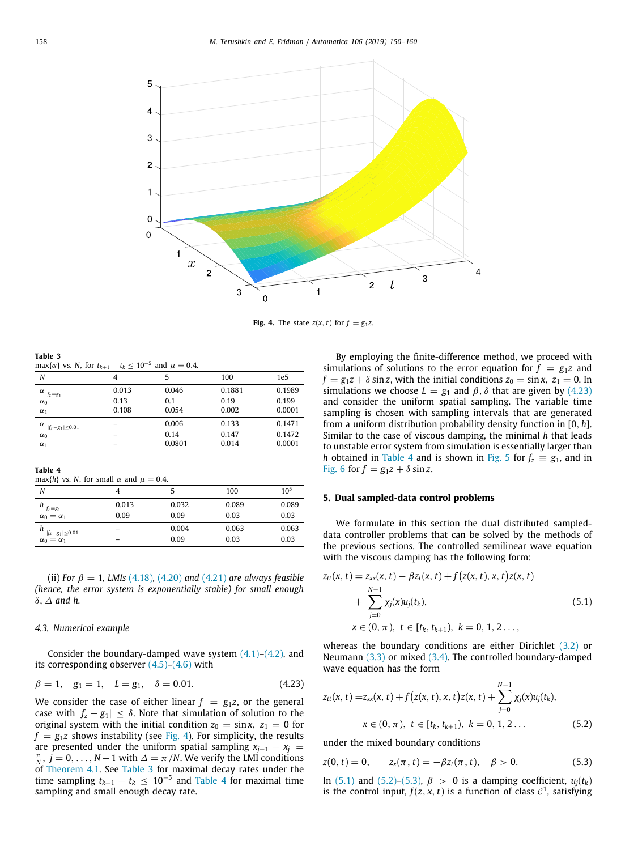

**Fig. 4.** The state  $z(x, t)$  for  $f = g_1 z$ .

<span id="page-8-0"></span>**Table 3**

<span id="page-8-1"></span>max $\{\alpha\}$  vs. *N*, for  $t_{k+1} - t_k \leq 10^{-5}$  and  $\mu = 0.4$ .

| N                                     | 4     | 5      | 100    | 1e <sub>5</sub> |
|---------------------------------------|-------|--------|--------|-----------------|
| α<br>$f_z \equiv g_1$                 | 0.013 | 0.046  | 0.1881 | 0.1989          |
| $\alpha_0$                            | 0.13  | 0.1    | 0.19   | 0.199           |
| $\alpha_1$                            | 0.108 | 0.054  | 0.002  | 0.0001          |
| $\alpha$<br>$   f_7 - g_1  \leq 0.01$ | -     | 0.006  | 0.133  | 0.1471          |
| $\alpha_0$                            | -     | 0.14   | 0.147  | 0.1472          |
| $\alpha_1$                            | -     | 0.0801 | 0.014  | 0.0001          |
|                                       |       |        |        |                 |

**Table 4**

<span id="page-8-2"></span>max{*h*} vs. *N*, for small  $\alpha$  and  $\mu = 0.4$ .

| N                           |                 |       | 100   | $10^{5}$ |
|-----------------------------|-----------------|-------|-------|----------|
| $f_z \equiv g_1$            | 0.013           | 0.032 | 0.089 | 0.089    |
| $\alpha_0 = \alpha_1$       | 0.09            | 0.09  | 0.03  | 0.03     |
| $h _{ f_z - g_1  \le 0.01}$ | -               | 0.004 | 0.063 | 0.063    |
| $\alpha_0 = \alpha_1$       | $\qquad \qquad$ | 0.09  | 0.03  | 0.03     |

(ii) *For*  $\beta = 1$ *, LMIs* [\(4.18\)](#page-7-5)*,* [\(4.20\)](#page-7-6) *and* ([4.21](#page-7-7)) *are always feasible (hence, the error system is exponentially stable) for small enough* δ, ∆ *and h.*

#### *4.3. Numerical example*

Consider the boundary-damped wave system  $(4.1)$  $(4.1)$ – $(4.2)$  $(4.2)$  $(4.2)$ , and its corresponding observer  $(4.5)$  $(4.5)$  $(4.5)$ – $(4.6)$  with

$$
\beta = 1, \quad g_1 = 1, \quad L = g_1, \quad \delta = 0.01. \tag{4.23}
$$

We consider the case of either linear  $f = g_1 z$ , or the general case with  $|f_z - g_1| < \delta$ . Note that simulation of solution to the original system with the initial condition  $z_0 = \sin x$ ,  $z_1 = 0$  for  $f = g_1 z$  shows instability (see [Fig.](#page-8-0) [4\)](#page-8-0). For simplicity, the results are presented under the uniform spatial sampling  $x_{i+1} - x_i =$  $\frac{\pi}{N}$ ,  $j = 0, \ldots, N-1$  with  $\Delta = \pi/N$ . We verify the LMI conditions of [Theorem](#page-7-4) [4.1.](#page-7-4) See [Table](#page-8-1) [3](#page-8-1) for maximal decay rates under the time sampling  $t_{k+1} - t_k \leq 10^{-5}$  and [Table](#page-8-2) [4](#page-8-2) for maximal time sampling and small enough decay rate.

By employing the finite-difference method, we proceed with simulations of solutions to the error equation for  $f = g_1 z$  and  $f = g_1 z + \delta \sin z$ , with the initial conditions  $z_0 = \sin x$ ,  $z_1 = 0$ . In simulations we choose  $L = g_1$  and  $\beta$ ,  $\delta$  that are given by [\(4.23\)](#page-8-3) and consider the uniform spatial sampling. The variable time sampling is chosen with sampling intervals that are generated from a uniform distribution probability density function in [0, *h*]. Similar to the case of viscous damping, the minimal *h* that leads to unstable error system from simulation is essentially larger than *h* obtained in [Table](#page-8-2) [4](#page-8-2) and is shown in [Fig.](#page-9-1) [5](#page-9-1) for  $f_z \equiv g_1$ , and in [Fig.](#page-9-2) [6](#page-9-2) for  $f = g_1 z + \delta \sin z$ .

#### **5. Dual sampled-data control problems**

We formulate in this section the dual distributed sampleddata controller problems that can be solved by the methods of the previous sections. The controlled semilinear wave equation with the viscous damping has the following form:

<span id="page-8-4"></span>
$$
z_{tt}(x, t) = z_{xx}(x, t) - \beta z_t(x, t) + f(z(x, t), x, t)z(x, t)
$$
  
+ 
$$
\sum_{j=0}^{N-1} \chi_j(x)u_j(t_k),
$$
  

$$
x \in (0, \pi), t \in [t_k, t_{k+1}), k = 0, 1, 2...,
$$
 (5.1)

whereas the boundary conditions are either Dirichlet ([3.2](#page-1-2)) or Neumann [\(3.3\)](#page-1-3) or mixed [\(3.4\)](#page-1-4). The controlled boundary-damped wave equation has the form

<span id="page-8-3"></span>
$$
z_{tt}(x, t) = z_{xx}(x, t) + f(z(x, t), x, t)z(x, t) + \sum_{j=0}^{N-1} \chi_j(x)u_j(t_k),
$$
  

$$
x \in (0, \pi), t \in [t_k, t_{k+1}), k = 0, 1, 2 ...
$$
 (5.2)

<span id="page-8-5"></span>under the mixed boundary conditions

<span id="page-8-6"></span>
$$
z(0, t) = 0, \qquad z_x(\pi, t) = -\beta z_t(\pi, t), \quad \beta > 0.
$$
 (5.3)

In [\(5.1\)](#page-8-4) and ([5.2](#page-8-5))–[\(5.3\)](#page-8-6),  $\beta$  > 0 is a damping coefficient,  $u_i(t_k)$ is the control input,  $f(z, x, t)$  is a function of class  $C<sup>1</sup>$ , satisfying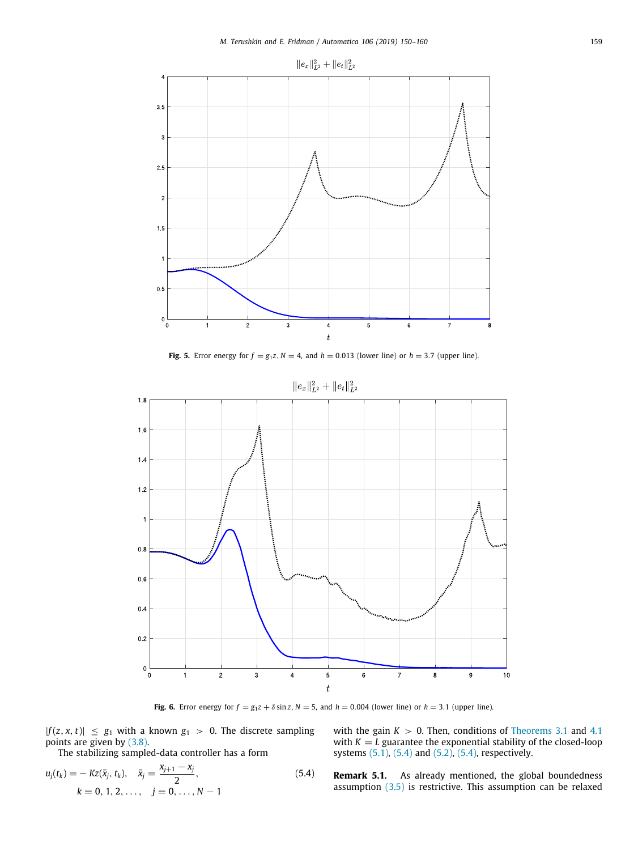

**Fig. 5.** Error energy for  $f = g_1 z$ ,  $N = 4$ , and  $h = 0.013$  (lower line) or  $h = 3.7$  (upper line).

<span id="page-9-1"></span>

# $||e_x||_{L^2}^2 + ||e_t||_{L^2}^2$

**Fig. 6.** Error energy for  $f = g_1 z + \delta \sin z$ ,  $N = 5$ , and  $h = 0.004$  (lower line) or  $h = 3.1$  (upper line).

<span id="page-9-2"></span> $|f(z, x, t)| \leq g_1$  with a known  $g_1 > 0$ . The discrete sampling points are given by ([3.8](#page-1-5)).

The stabilizing sampled-data controller has a form

$$
u_j(t_k) = -Kz(\bar{x}_j, t_k), \quad \bar{x}_j = \frac{x_{j+1} - x_j}{2},
$$
  
\n
$$
k = 0, 1, 2, ..., \quad j = 0, ..., N - 1
$$
\n(5.4)

<span id="page-9-0"></span>with the gain  $K > 0$ . Then, conditions of [Theorems](#page-4-7) [3.1](#page-4-7) and [4.1](#page-7-4) with  $K = L$  guarantee the exponential stability of the closed-loop systems [\(5.1\)](#page-8-4), [\(5.4](#page-9-3)) and ([5.2](#page-8-5)), [\(5.4\)](#page-9-3), respectively.

<span id="page-9-3"></span>**Remark 5.1.** As already mentioned, the global boundedness assumption ([3.5\)](#page-1-0) is restrictive. This assumption can be relaxed